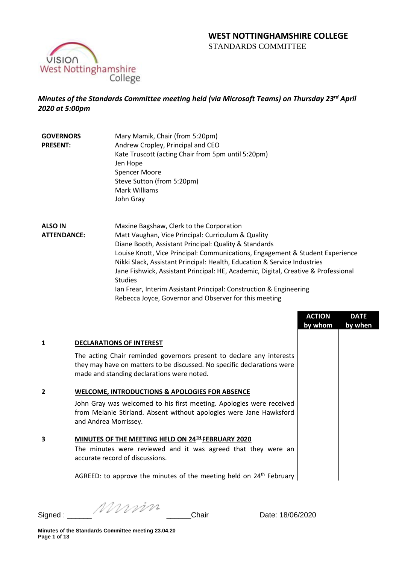

# *Minutes of the Standards Committee meeting held (via Microsoft Teams) on Thursday 23rd April 2020 at 5:00pm*

**GOVERNORS PRESENT:** Mary Mamik, Chair (from 5:20pm) Andrew Cropley, Principal and CEO Kate Truscott (acting Chair from 5pm until 5:20pm) Jen Hope Spencer Moore Steve Sutton (from 5:20pm) Mark Williams John Gray

**ALSO IN ATTENDANCE:** Maxine Bagshaw, Clerk to the Corporation Matt Vaughan, Vice Principal: Curriculum & Quality Diane Booth, Assistant Principal: Quality & Standards Louise Knott, Vice Principal: Communications, Engagement & Student Experience Nikki Slack, Assistant Principal: Health, Education & Service Industries Jane Fishwick, Assistant Principal: HE, Academic, Digital, Creative & Professional Studies Ian Frear, Interim Assistant Principal: Construction & Engineering Rebecca Joyce, Governor and Observer for this meeting

|   |                                                                                                                                                                                               | <b>ACTION</b><br>by whom | <b>DATE</b><br>by when |
|---|-----------------------------------------------------------------------------------------------------------------------------------------------------------------------------------------------|--------------------------|------------------------|
| 1 | <b>DECLARATIONS OF INTEREST</b>                                                                                                                                                               |                          |                        |
|   | The acting Chair reminded governors present to declare any interests<br>they may have on matters to be discussed. No specific declarations were<br>made and standing declarations were noted. |                          |                        |
| 2 | WELCOME, INTRODUCTIONS & APOLOGIES FOR ABSENCE                                                                                                                                                |                          |                        |
|   | John Gray was welcomed to his first meeting. Apologies were received<br>from Melanie Stirland. Absent without apologies were Jane Hawksford<br>and Andrea Morrissey.                          |                          |                        |
| 3 | MINUTES OF THE MEETING HELD ON 24TH FEBRUARY 2020                                                                                                                                             |                          |                        |
|   | The minutes were reviewed and it was agreed that they were an<br>accurate record of discussions.                                                                                              |                          |                        |
|   | AGREED: to approve the minutes of the meeting held on 24 <sup>th</sup> February                                                                                                               |                          |                        |

Signed : \_\_\_\_\_\_ \_\_\_\_\_\_Chair Date: 18/06/2020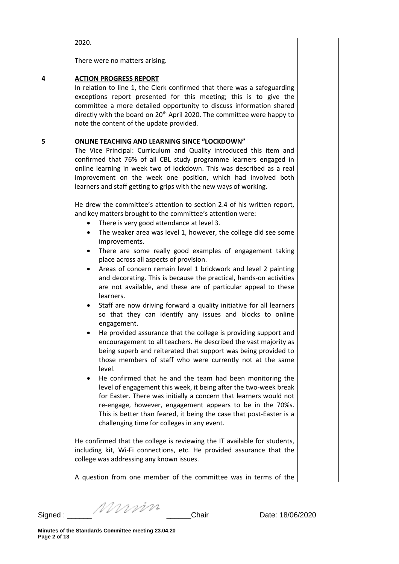2020.

There were no matters arising.

# **4 ACTION PROGRESS REPORT**

In relation to line 1, the Clerk confirmed that there was a safeguarding exceptions report presented for this meeting; this is to give the committee a more detailed opportunity to discuss information shared directly with the board on  $20<sup>th</sup>$  April 2020. The committee were happy to note the content of the update provided.

# **5 ONLINE TEACHING AND LEARNING SINCE "LOCKDOWN"**

The Vice Principal: Curriculum and Quality introduced this item and confirmed that 76% of all CBL study programme learners engaged in online learning in week two of lockdown. This was described as a real improvement on the week one position, which had involved both learners and staff getting to grips with the new ways of working.

He drew the committee's attention to section 2.4 of his written report, and key matters brought to the committee's attention were:

- There is very good attendance at level 3.
- The weaker area was level 1, however, the college did see some improvements.
- There are some really good examples of engagement taking place across all aspects of provision.
- Areas of concern remain level 1 brickwork and level 2 painting and decorating. This is because the practical, hands-on activities are not available, and these are of particular appeal to these learners.
- Staff are now driving forward a quality initiative for all learners so that they can identify any issues and blocks to online engagement.
- He provided assurance that the college is providing support and encouragement to all teachers. He described the vast majority as being superb and reiterated that support was being provided to those members of staff who were currently not at the same level.
- He confirmed that he and the team had been monitoring the level of engagement this week, it being after the two-week break for Easter. There was initially a concern that learners would not re-engage, however, engagement appears to be in the 70%s. This is better than feared, it being the case that post-Easter is a challenging time for colleges in any event.

He confirmed that the college is reviewing the IT available for students, including kit, Wi-Fi connections, etc. He provided assurance that the college was addressing any known issues.

A question from one member of the committee was in terms of the

Signed : \_\_\_\_\_\_ \_\_\_\_\_\_Chair Date: 18/06/2020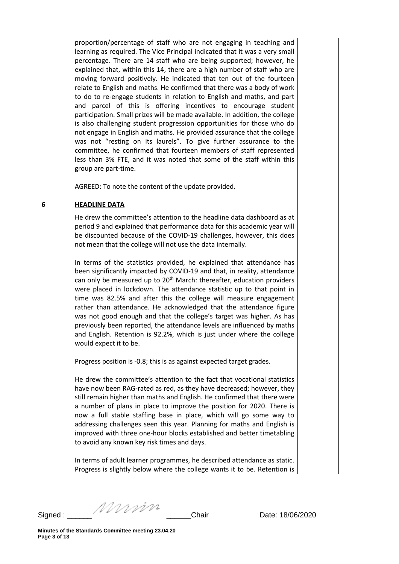proportion/percentage of staff who are not engaging in teaching and learning as required. The Vice Principal indicated that it was a very small percentage. There are 14 staff who are being supported; however, he explained that, within this 14, there are a high number of staff who are moving forward positively. He indicated that ten out of the fourteen relate to English and maths. He confirmed that there was a body of work to do to re-engage students in relation to English and maths, and part and parcel of this is offering incentives to encourage student participation. Small prizes will be made available. In addition, the college is also challenging student progression opportunities for those who do not engage in English and maths. He provided assurance that the college was not "resting on its laurels". To give further assurance to the committee, he confirmed that fourteen members of staff represented less than 3% FTE, and it was noted that some of the staff within this group are part-time.

AGREED: To note the content of the update provided.

#### **6 HEADLINE DATA**

He drew the committee's attention to the headline data dashboard as at period 9 and explained that performance data for this academic year will be discounted because of the COVID-19 challenges, however, this does not mean that the college will not use the data internally.

In terms of the statistics provided, he explained that attendance has been significantly impacted by COVID-19 and that, in reality, attendance can only be measured up to  $20<sup>th</sup>$  March: thereafter, education providers were placed in lockdown. The attendance statistic up to that point in time was 82.5% and after this the college will measure engagement rather than attendance. He acknowledged that the attendance figure was not good enough and that the college's target was higher. As has previously been reported, the attendance levels are influenced by maths and English. Retention is 92.2%, which is just under where the college would expect it to be.

Progress position is -0.8; this is as against expected target grades.

He drew the committee's attention to the fact that vocational statistics have now been RAG-rated as red, as they have decreased; however, they still remain higher than maths and English. He confirmed that there were a number of plans in place to improve the position for 2020. There is now a full stable staffing base in place, which will go some way to addressing challenges seen this year. Planning for maths and English is improved with three one-hour blocks established and better timetabling to avoid any known key risk times and days.

In terms of adult learner programmes, he described attendance as static. Progress is slightly below where the college wants it to be. Retention is

Signed : \_\_\_\_\_\_ \_\_\_\_\_\_Chair Date: 18/06/2020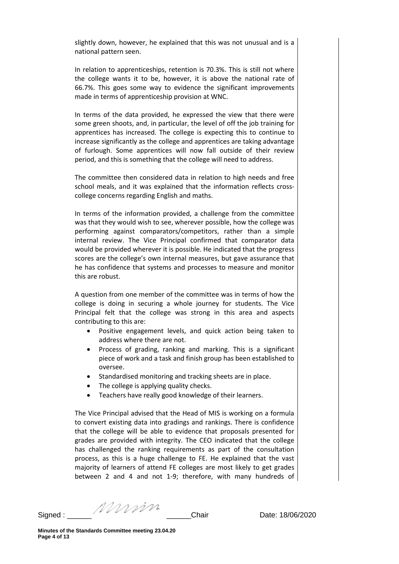slightly down, however, he explained that this was not unusual and is a national pattern seen.

In relation to apprenticeships, retention is 70.3%. This is still not where the college wants it to be, however, it is above the national rate of 66.7%. This goes some way to evidence the significant improvements made in terms of apprenticeship provision at WNC.

In terms of the data provided, he expressed the view that there were some green shoots, and, in particular, the level of off the job training for apprentices has increased. The college is expecting this to continue to increase significantly as the college and apprentices are taking advantage of furlough. Some apprentices will now fall outside of their review period, and this is something that the college will need to address.

The committee then considered data in relation to high needs and free school meals, and it was explained that the information reflects crosscollege concerns regarding English and maths.

In terms of the information provided, a challenge from the committee was that they would wish to see, wherever possible, how the college was performing against comparators/competitors, rather than a simple internal review. The Vice Principal confirmed that comparator data would be provided wherever it is possible. He indicated that the progress scores are the college's own internal measures, but gave assurance that he has confidence that systems and processes to measure and monitor this are robust.

A question from one member of the committee was in terms of how the college is doing in securing a whole journey for students. The Vice Principal felt that the college was strong in this area and aspects contributing to this are:

- Positive engagement levels, and quick action being taken to address where there are not.
- Process of grading, ranking and marking. This is a significant piece of work and a task and finish group has been established to oversee.
- Standardised monitoring and tracking sheets are in place.
- The college is applying quality checks.
- Teachers have really good knowledge of their learners.

The Vice Principal advised that the Head of MIS is working on a formula to convert existing data into gradings and rankings. There is confidence that the college will be able to evidence that proposals presented for grades are provided with integrity. The CEO indicated that the college has challenged the ranking requirements as part of the consultation process, as this is a huge challenge to FE. He explained that the vast majority of learners of attend FE colleges are most likely to get grades between 2 and 4 and not 1-9; therefore, with many hundreds of

Signed : \_\_\_\_\_\_ \_\_\_\_\_\_Chair Date: 18/06/2020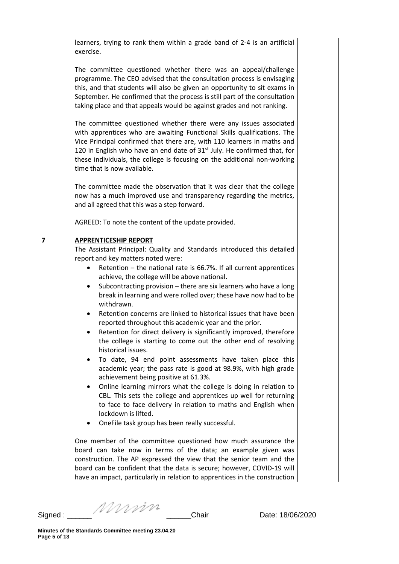learners, trying to rank them within a grade band of 2-4 is an artificial exercise.

The committee questioned whether there was an appeal/challenge programme. The CEO advised that the consultation process is envisaging this, and that students will also be given an opportunity to sit exams in September. He confirmed that the process is still part of the consultation taking place and that appeals would be against grades and not ranking.

The committee questioned whether there were any issues associated with apprentices who are awaiting Functional Skills qualifications. The Vice Principal confirmed that there are, with 110 learners in maths and 120 in English who have an end date of  $31<sup>st</sup>$  July. He confirmed that, for these individuals, the college is focusing on the additional non-working time that is now available.

The committee made the observation that it was clear that the college now has a much improved use and transparency regarding the metrics, and all agreed that this was a step forward.

AGREED: To note the content of the update provided.

### **7 APPRENTICESHIP REPORT**

The Assistant Principal: Quality and Standards introduced this detailed report and key matters noted were:

- Retention the national rate is 66.7%. If all current apprentices achieve, the college will be above national.
- Subcontracting provision there are six learners who have a long break in learning and were rolled over; these have now had to be withdrawn.
- Retention concerns are linked to historical issues that have been reported throughout this academic year and the prior.
- Retention for direct delivery is significantly improved, therefore the college is starting to come out the other end of resolving historical issues.
- To date, 94 end point assessments have taken place this academic year; the pass rate is good at 98.9%, with high grade achievement being positive at 61.3%.
- Online learning mirrors what the college is doing in relation to CBL. This sets the college and apprentices up well for returning to face to face delivery in relation to maths and English when lockdown is lifted.
- OneFile task group has been really successful.

One member of the committee questioned how much assurance the board can take now in terms of the data; an example given was construction. The AP expressed the view that the senior team and the board can be confident that the data is secure; however, COVID-19 will have an impact, particularly in relation to apprentices in the construction

Signed : \_\_\_\_\_\_ \_\_\_\_\_\_Chair Date: 18/06/2020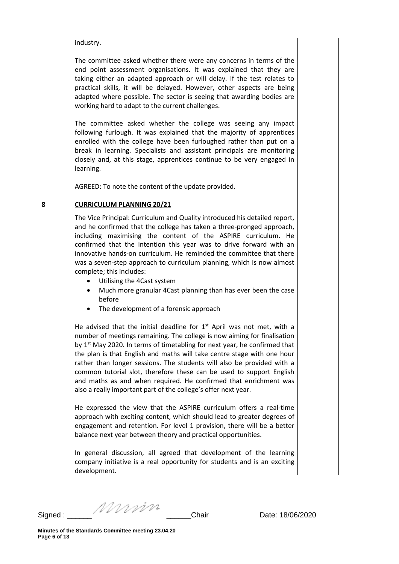industry.

The committee asked whether there were any concerns in terms of the end point assessment organisations. It was explained that they are taking either an adapted approach or will delay. If the test relates to practical skills, it will be delayed. However, other aspects are being adapted where possible. The sector is seeing that awarding bodies are working hard to adapt to the current challenges.

The committee asked whether the college was seeing any impact following furlough. It was explained that the majority of apprentices enrolled with the college have been furloughed rather than put on a break in learning. Specialists and assistant principals are monitoring closely and, at this stage, apprentices continue to be very engaged in learning.

AGREED: To note the content of the update provided.

### **8 CURRICULUM PLANNING 20/21**

The Vice Principal: Curriculum and Quality introduced his detailed report, and he confirmed that the college has taken a three-pronged approach, including maximising the content of the ASPIRE curriculum. He confirmed that the intention this year was to drive forward with an innovative hands-on curriculum. He reminded the committee that there was a seven-step approach to curriculum planning, which is now almost complete; this includes:

- Utilising the 4Cast system
- Much more granular 4Cast planning than has ever been the case before
- The development of a forensic approach

He advised that the initial deadline for  $1<sup>st</sup>$  April was not met, with a number of meetings remaining. The college is now aiming for finalisation by 1<sup>st</sup> May 2020. In terms of timetabling for next year, he confirmed that the plan is that English and maths will take centre stage with one hour rather than longer sessions. The students will also be provided with a common tutorial slot, therefore these can be used to support English and maths as and when required. He confirmed that enrichment was also a really important part of the college's offer next year.

He expressed the view that the ASPIRE curriculum offers a real-time approach with exciting content, which should lead to greater degrees of engagement and retention. For level 1 provision, there will be a better balance next year between theory and practical opportunities.

In general discussion, all agreed that development of the learning company initiative is a real opportunity for students and is an exciting development.

Signed : \_\_\_\_\_\_ \_\_\_\_\_\_Chair Date: 18/06/2020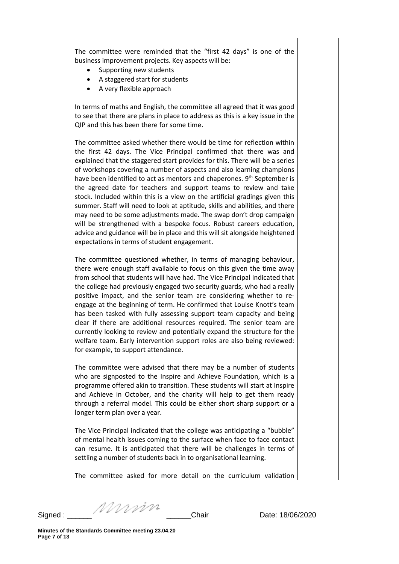The committee were reminded that the "first 42 days" is one of the business improvement projects. Key aspects will be:

- Supporting new students
- A staggered start for students
- A very flexible approach

In terms of maths and English, the committee all agreed that it was good to see that there are plans in place to address as this is a key issue in the QIP and this has been there for some time.

The committee asked whether there would be time for reflection within the first 42 days. The Vice Principal confirmed that there was and explained that the staggered start provides for this. There will be a series of workshops covering a number of aspects and also learning champions have been identified to act as mentors and chaperones. 9<sup>th</sup> September is the agreed date for teachers and support teams to review and take stock. Included within this is a view on the artificial gradings given this summer. Staff will need to look at aptitude, skills and abilities, and there may need to be some adjustments made. The swap don't drop campaign will be strengthened with a bespoke focus. Robust careers education, advice and guidance will be in place and this will sit alongside heightened expectations in terms of student engagement.

The committee questioned whether, in terms of managing behaviour, there were enough staff available to focus on this given the time away from school that students will have had. The Vice Principal indicated that the college had previously engaged two security guards, who had a really positive impact, and the senior team are considering whether to reengage at the beginning of term. He confirmed that Louise Knott's team has been tasked with fully assessing support team capacity and being clear if there are additional resources required. The senior team are currently looking to review and potentially expand the structure for the welfare team. Early intervention support roles are also being reviewed: for example, to support attendance.

The committee were advised that there may be a number of students who are signposted to the Inspire and Achieve Foundation, which is a programme offered akin to transition. These students will start at Inspire and Achieve in October, and the charity will help to get them ready through a referral model. This could be either short sharp support or a longer term plan over a year.

The Vice Principal indicated that the college was anticipating a "bubble" of mental health issues coming to the surface when face to face contact can resume. It is anticipated that there will be challenges in terms of settling a number of students back in to organisational learning.

The committee asked for more detail on the curriculum validation

Signed : \_\_\_\_\_\_ \_\_\_\_\_\_Chair Date: 18/06/2020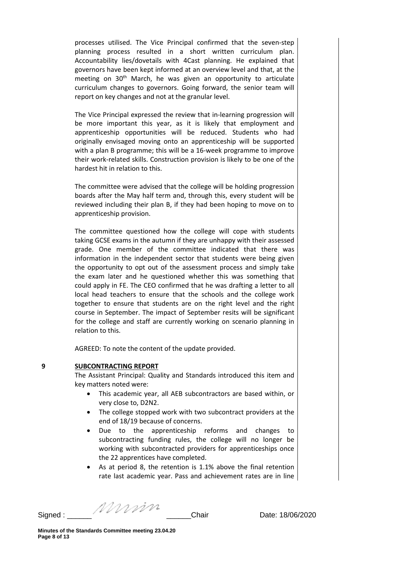processes utilised. The Vice Principal confirmed that the seven-step planning process resulted in a short written curriculum plan. Accountability lies/dovetails with 4Cast planning. He explained that governors have been kept informed at an overview level and that, at the meeting on 30<sup>th</sup> March, he was given an opportunity to articulate curriculum changes to governors. Going forward, the senior team will report on key changes and not at the granular level.

The Vice Principal expressed the review that in-learning progression will be more important this year, as it is likely that employment and apprenticeship opportunities will be reduced. Students who had originally envisaged moving onto an apprenticeship will be supported with a plan B programme; this will be a 16-week programme to improve their work-related skills. Construction provision is likely to be one of the hardest hit in relation to this.

The committee were advised that the college will be holding progression boards after the May half term and, through this, every student will be reviewed including their plan B, if they had been hoping to move on to apprenticeship provision.

The committee questioned how the college will cope with students taking GCSE exams in the autumn if they are unhappy with their assessed grade. One member of the committee indicated that there was information in the independent sector that students were being given the opportunity to opt out of the assessment process and simply take the exam later and he questioned whether this was something that could apply in FE. The CEO confirmed that he was drafting a letter to all local head teachers to ensure that the schools and the college work together to ensure that students are on the right level and the right course in September. The impact of September resits will be significant for the college and staff are currently working on scenario planning in relation to this.

AGREED: To note the content of the update provided.

### **9 SUBCONTRACTING REPORT**

The Assistant Principal: Quality and Standards introduced this item and key matters noted were:

- This academic year, all AEB subcontractors are based within, or very close to, D2N2.
- The college stopped work with two subcontract providers at the end of 18/19 because of concerns.
- Due to the apprenticeship reforms and changes to subcontracting funding rules, the college will no longer be working with subcontracted providers for apprenticeships once the 22 apprentices have completed.
- As at period 8, the retention is 1.1% above the final retention rate last academic year. Pass and achievement rates are in line

Signed : \_\_\_\_\_\_ \_\_\_\_\_\_Chair Date: 18/06/2020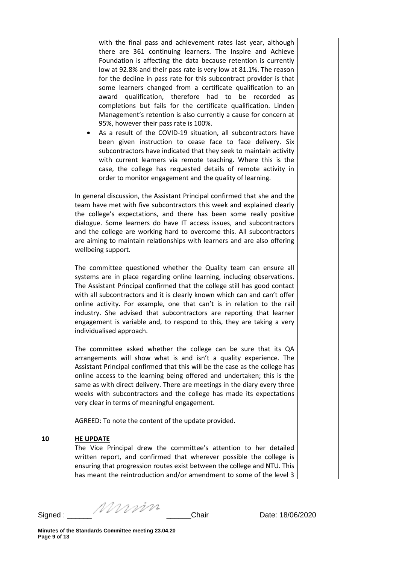with the final pass and achievement rates last year, although there are 361 continuing learners. The Inspire and Achieve Foundation is affecting the data because retention is currently low at 92.8% and their pass rate is very low at 81.1%. The reason for the decline in pass rate for this subcontract provider is that some learners changed from a certificate qualification to an award qualification, therefore had to be recorded as completions but fails for the certificate qualification. Linden Management's retention is also currently a cause for concern at 95%, however their pass rate is 100%.

• As a result of the COVID-19 situation, all subcontractors have been given instruction to cease face to face delivery. Six subcontractors have indicated that they seek to maintain activity with current learners via remote teaching. Where this is the case, the college has requested details of remote activity in order to monitor engagement and the quality of learning.

In general discussion, the Assistant Principal confirmed that she and the team have met with five subcontractors this week and explained clearly the college's expectations, and there has been some really positive dialogue. Some learners do have IT access issues, and subcontractors and the college are working hard to overcome this. All subcontractors are aiming to maintain relationships with learners and are also offering wellbeing support.

The committee questioned whether the Quality team can ensure all systems are in place regarding online learning, including observations. The Assistant Principal confirmed that the college still has good contact with all subcontractors and it is clearly known which can and can't offer online activity. For example, one that can't is in relation to the rail industry. She advised that subcontractors are reporting that learner engagement is variable and, to respond to this, they are taking a very individualised approach.

The committee asked whether the college can be sure that its QA arrangements will show what is and isn't a quality experience. The Assistant Principal confirmed that this will be the case as the college has online access to the learning being offered and undertaken; this is the same as with direct delivery. There are meetings in the diary every three weeks with subcontractors and the college has made its expectations very clear in terms of meaningful engagement.

AGREED: To note the content of the update provided.

### **10 HE UPDATE**

The Vice Principal drew the committee's attention to her detailed written report, and confirmed that wherever possible the college is ensuring that progression routes exist between the college and NTU. This has meant the reintroduction and/or amendment to some of the level 3

Signed : \_\_\_\_\_\_ \_\_\_\_\_\_Chair Date: 18/06/2020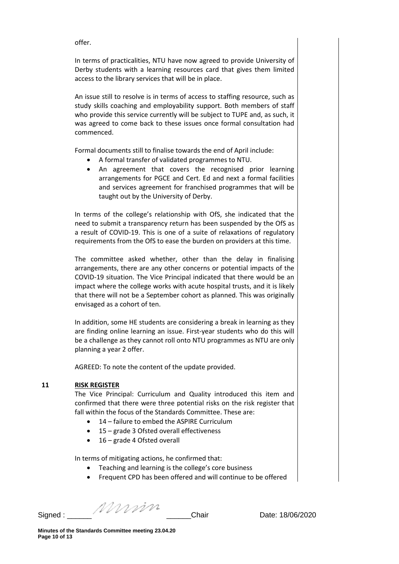offer.

In terms of practicalities, NTU have now agreed to provide University of Derby students with a learning resources card that gives them limited access to the library services that will be in place.

An issue still to resolve is in terms of access to staffing resource, such as study skills coaching and employability support. Both members of staff who provide this service currently will be subject to TUPE and, as such, it was agreed to come back to these issues once formal consultation had commenced.

Formal documents still to finalise towards the end of April include:

- A formal transfer of validated programmes to NTU.
- An agreement that covers the recognised prior learning arrangements for PGCE and Cert. Ed and next a formal facilities and services agreement for franchised programmes that will be taught out by the University of Derby.

In terms of the college's relationship with OfS, she indicated that the need to submit a transparency return has been suspended by the OfS as a result of COVID-19. This is one of a suite of relaxations of regulatory requirements from the OfS to ease the burden on providers at this time.

The committee asked whether, other than the delay in finalising arrangements, there are any other concerns or potential impacts of the COVID-19 situation. The Vice Principal indicated that there would be an impact where the college works with acute hospital trusts, and it is likely that there will not be a September cohort as planned. This was originally envisaged as a cohort of ten.

In addition, some HE students are considering a break in learning as they are finding online learning an issue. First-year students who do this will be a challenge as they cannot roll onto NTU programmes as NTU are only planning a year 2 offer.

AGREED: To note the content of the update provided.

### **11 RISK REGISTER**

The Vice Principal: Curriculum and Quality introduced this item and confirmed that there were three potential risks on the risk register that fall within the focus of the Standards Committee. These are:

- 14 failure to embed the ASPIRE Curriculum
- 15 grade 3 Ofsted overall effectiveness
- 16 grade 4 Ofsted overall

In terms of mitigating actions, he confirmed that:

- Teaching and learning is the college's core business
- Frequent CPD has been offered and will continue to be offered

Signed : \_\_\_\_\_\_ \_\_\_\_\_\_Chair Date: 18/06/2020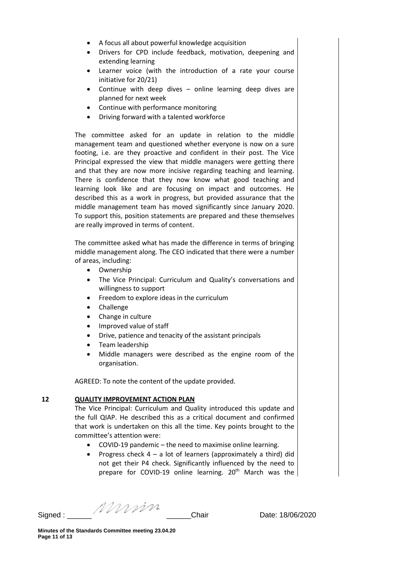- A focus all about powerful knowledge acquisition
- Drivers for CPD include feedback, motivation, deepening and extending learning
- Learner voice (with the introduction of a rate your course initiative for 20/21)
- Continue with deep dives online learning deep dives are planned for next week
- Continue with performance monitoring
- Driving forward with a talented workforce

The committee asked for an update in relation to the middle management team and questioned whether everyone is now on a sure footing, i.e. are they proactive and confident in their post. The Vice Principal expressed the view that middle managers were getting there and that they are now more incisive regarding teaching and learning. There is confidence that they now know what good teaching and learning look like and are focusing on impact and outcomes. He described this as a work in progress, but provided assurance that the middle management team has moved significantly since January 2020. To support this, position statements are prepared and these themselves are really improved in terms of content.

The committee asked what has made the difference in terms of bringing middle management along. The CEO indicated that there were a number of areas, including:

- Ownership
- The Vice Principal: Curriculum and Quality's conversations and willingness to support
- Freedom to explore ideas in the curriculum
- Challenge
- Change in culture
- Improved value of staff
- Drive, patience and tenacity of the assistant principals
- Team leadership
- Middle managers were described as the engine room of the organisation.

AGREED: To note the content of the update provided.

### **12 QUALITY IMPROVEMENT ACTION PLAN**

The Vice Principal: Curriculum and Quality introduced this update and the full QIAP. He described this as a critical document and confirmed that work is undertaken on this all the time. Key points brought to the committee's attention were:

- COVID-19 pandemic the need to maximise online learning.
- Progress check  $4 a$  lot of learners (approximately a third) did not get their P4 check. Significantly influenced by the need to prepare for COVID-19 online learning. 20<sup>th</sup> March was the

Signed : \_\_\_\_\_\_ \_\_\_\_\_\_Chair Date: 18/06/2020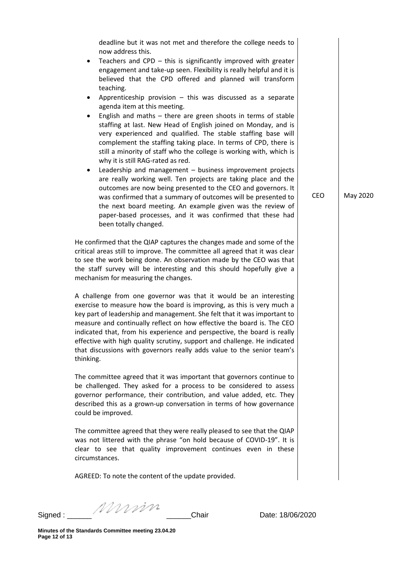deadline but it was not met and therefore the college needs to now address this. Teachers and CPD  $-$  this is significantly improved with greater engagement and take-up seen. Flexibility is really helpful and it is believed that the CPD offered and planned will transform teaching. Apprenticeship provision  $-$  this was discussed as a separate agenda item at this meeting. English and maths  $-$  there are green shoots in terms of stable staffing at last. New Head of English joined on Monday, and is very experienced and qualified. The stable staffing base will complement the staffing taking place. In terms of CPD, there is still a minority of staff who the college is working with, which is why it is still RAG-rated as red. • Leadership and management – business improvement projects are really working well. Ten projects are taking place and the outcomes are now being presented to the CEO and governors. It was confirmed that a summary of outcomes will be presented to the next board meeting. An example given was the review of paper-based processes, and it was confirmed that these had been totally changed. He confirmed that the QIAP captures the changes made and some of the critical areas still to improve. The committee all agreed that it was clear to see the work being done. An observation made by the CEO was that the staff survey will be interesting and this should hopefully give a mechanism for measuring the changes. A challenge from one governor was that it would be an interesting exercise to measure how the board is improving, as this is very much a key part of leadership and management. She felt that it was important to measure and continually reflect on how effective the board is. The CEO indicated that, from his experience and perspective, the board is really effective with high quality scrutiny, support and challenge. He indicated that discussions with governors really adds value to the senior team's thinking. The committee agreed that it was important that governors continue to be challenged. They asked for a process to be considered to assess governor performance, their contribution, and value added, etc. They described this as a grown-up conversation in terms of how governance could be improved. The committee agreed that they were really pleased to see that the QIAP was not littered with the phrase "on hold because of COVID-19". It is clear to see that quality improvement continues even in these circumstances. AGREED: To note the content of the update provided. CEO May 2020

Signed : \_\_\_\_\_\_ \_\_\_\_\_\_Chair Date: 18/06/2020